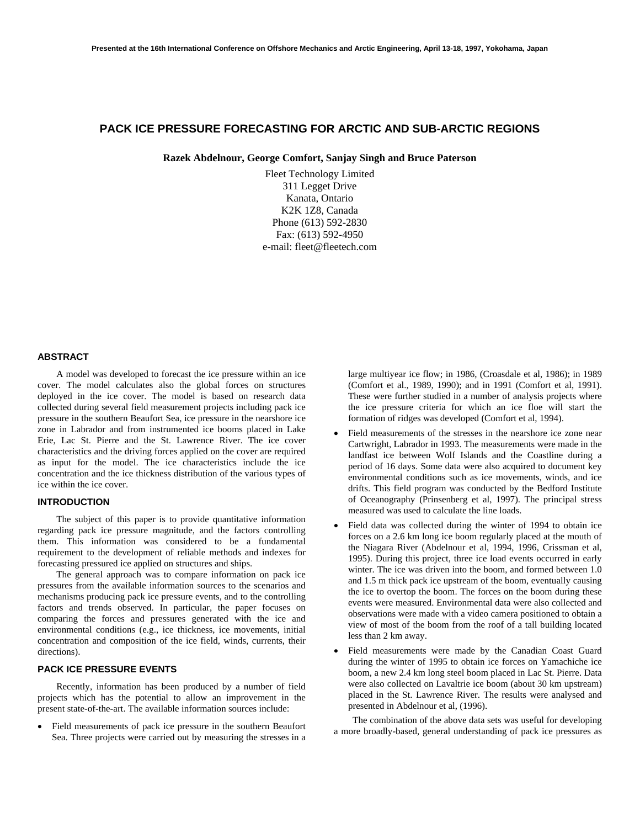# **PACK ICE PRESSURE FORECASTING FOR ARCTIC AND SUB-ARCTIC REGIONS**

**Razek Abdelnour, George Comfort, Sanjay Singh and Bruce Paterson**

Fleet Technology Limited 311 Legget Drive Kanata, Ontario K2K 1Z8, Canada Phone (613) 592-2830 Fax: (613) 592-4950 e-mail: fleet@fleetech.com

## **ABSTRACT**

A model was developed to forecast the ice pressure within an ice cover. The model calculates also the global forces on structures deployed in the ice cover. The model is based on research data collected during several field measurement projects including pack ice pressure in the southern Beaufort Sea, ice pressure in the nearshore ice zone in Labrador and from instrumented ice booms placed in Lake Erie, Lac St. Pierre and the St. Lawrence River. The ice cover characteristics and the driving forces applied on the cover are required as input for the model. The ice characteristics include the ice concentration and the ice thickness distribution of the various types of ice within the ice cover.

## **INTRODUCTION**

The subject of this paper is to provide quantitative information regarding pack ice pressure magnitude, and the factors controlling them. This information was considered to be a fundamental requirement to the development of reliable methods and indexes for forecasting pressured ice applied on structures and ships.

The general approach was to compare information on pack ice pressures from the available information sources to the scenarios and mechanisms producing pack ice pressure events, and to the controlling factors and trends observed. In particular, the paper focuses on comparing the forces and pressures generated with the ice and environmental conditions (e.g., ice thickness, ice movements, initial concentration and composition of the ice field, winds, currents, their directions).

# **PACK ICE PRESSURE EVENTS**

Recently, information has been produced by a number of field projects which has the potential to allow an improvement in the present state-of-the-art. The available information sources include:

• Field measurements of pack ice pressure in the southern Beaufort Sea. Three projects were carried out by measuring the stresses in a large multiyear ice flow; in 1986, (Croasdale et al, 1986); in 1989 (Comfort et al., 1989, 1990); and in 1991 (Comfort et al, 1991). These were further studied in a number of analysis projects where the ice pressure criteria for which an ice floe will start the formation of ridges was developed (Comfort et al, 1994).

- Field measurements of the stresses in the nearshore ice zone near Cartwright, Labrador in 1993. The measurements were made in the landfast ice between Wolf Islands and the Coastline during a period of 16 days. Some data were also acquired to document key environmental conditions such as ice movements, winds, and ice drifts. This field program was conducted by the Bedford Institute of Oceanography (Prinsenberg et al, 1997). The principal stress measured was used to calculate the line loads.
- Field data was collected during the winter of 1994 to obtain ice forces on a 2.6 km long ice boom regularly placed at the mouth of the Niagara River (Abdelnour et al, 1994, 1996, Crissman et al, 1995). During this project, three ice load events occurred in early winter. The ice was driven into the boom, and formed between 1.0 and 1.5 m thick pack ice upstream of the boom, eventually causing the ice to overtop the boom. The forces on the boom during these events were measured. Environmental data were also collected and observations were made with a video camera positioned to obtain a view of most of the boom from the roof of a tall building located less than 2 km away.
- Field measurements were made by the Canadian Coast Guard during the winter of 1995 to obtain ice forces on Yamachiche ice boom, a new 2.4 km long steel boom placed in Lac St. Pierre. Data were also collected on Lavaltrie ice boom (about 30 km upstream) placed in the St. Lawrence River. The results were analysed and presented in Abdelnour et al, (1996).

The combination of the above data sets was useful for developing a more broadly-based, general understanding of pack ice pressures as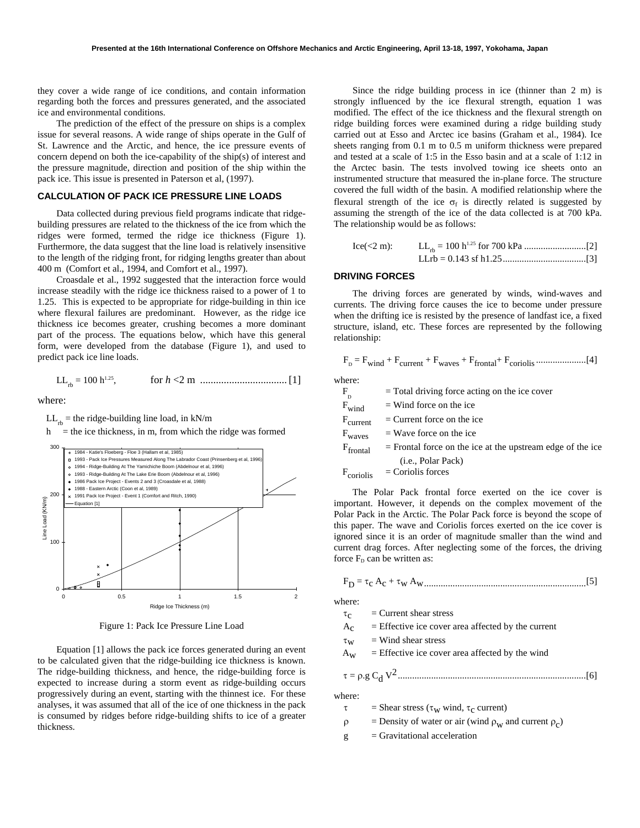they cover a wide range of ice conditions, and contain information regarding both the forces and pressures generated, and the associated ice and environmental conditions.

The prediction of the effect of the pressure on ships is a complex issue for several reasons. A wide range of ships operate in the Gulf of St. Lawrence and the Arctic, and hence, the ice pressure events of concern depend on both the ice-capability of the ship(s) of interest and the pressure magnitude, direction and position of the ship within the pack ice. This issue is presented in Paterson et al, (1997).

## **CALCULATION OF PACK ICE PRESSURE LINE LOADS**

Data collected during previous field programs indicate that ridgebuilding pressures are related to the thickness of the ice from which the ridges were formed, termed the ridge ice thickness (Figure 1). Furthermore, the data suggest that the line load is relatively insensitive to the length of the ridging front, for ridging lengths greater than about 400 m (Comfort et al., 1994, and Comfort et al., 1997).

Croasdale et al., 1992 suggested that the interaction force would increase steadily with the ridge ice thickness raised to a power of 1 to 1.25. This is expected to be appropriate for ridge-building in thin ice where flexural failures are predominant. However, as the ridge ice thickness ice becomes greater, crushing becomes a more dominant part of the process. The equations below, which have this general form, were developed from the database (Figure 1), and used to predict pack ice line loads.

LLrb = 100 h1.25, for *h* <2 m .................................[1]

where:

 $LL_{rb}$  = the ridge-building line load, in kN/m

 $h$  = the ice thickness, in m, from which the ridge was formed



Figure 1: Pack Ice Pressure Line Load

Equation [1] allows the pack ice forces generated during an event to be calculated given that the ridge-building ice thickness is known. The ridge-building thickness, and hence, the ridge-building force is expected to increase during a storm event as ridge-building occurs progressively during an event, starting with the thinnest ice. For these analyses, it was assumed that all of the ice of one thickness in the pack is consumed by ridges before ridge-building shifts to ice of a greater thickness.

Since the ridge building process in ice (thinner than 2 m) is strongly influenced by the ice flexural strength, equation 1 was modified. The effect of the ice thickness and the flexural strength on ridge building forces were examined during a ridge building study carried out at Esso and Arctec ice basins (Graham et al., 1984). Ice sheets ranging from 0.1 m to 0.5 m uniform thickness were prepared and tested at a scale of 1:5 in the Esso basin and at a scale of 1:12 in the Arctec basin. The tests involved towing ice sheets onto an instrumented structure that measured the in-plane force. The structure covered the full width of the basin. A modified relationship where the flexural strength of the ice  $\sigma_f$  is directly related is suggested by assuming the strength of the ice of the data collected is at 700 kPa. The relationship would be as follows:

Ice(<2 m): LLrb = 100 h1.25 for 700 kPa ..........................[2] LLrb = 0.143 sf h1.25...................................[3]

## **DRIVING FORCES**

The driving forces are generated by winds, wind-waves and currents. The driving force causes the ice to become under pressure when the drifting ice is resisted by the presence of landfast ice, a fixed structure, island, etc. These forces are represented by the following relationship:

$$
F_{\rm p} = F_{\rm wind} + F_{\rm current} + F_{\rm waves} + F_{\rm frontal} + F_{\rm coriolis} + \dots
$$

where:

| $\rm F_p$                       | $=$ Total driving force acting on the ice cover              |
|---------------------------------|--------------------------------------------------------------|
| $F_{wind}$                      | $=$ Wind force on the ice                                    |
| $\mathrm{F}_{\mathrm{current}}$ | $=$ Current force on the ice                                 |
| $F_{\text{waves}}$              | $=$ Wave force on the ice                                    |
| $F_{frontal}$                   | $=$ Frontal force on the ice at the upstream edge of the ice |
|                                 | (i.e., Polar Pack)                                           |
|                                 | $F_{\text{coriolis}}$ = Coriolis forces                      |

The Polar Pack frontal force exerted on the ice cover is important. However, it depends on the complex movement of the Polar Pack in the Arctic. The Polar Pack force is beyond the scope of this paper. The wave and Coriolis forces exerted on the ice cover is ignored since it is an order of magnitude smaller than the wind and current drag forces. After neglecting some of the forces, the driving force  $F_D$  can be written as:

FD = τc Ac + τw Aw....................................................................[5]

where:

- $\tau_c$  = Current shear stress
- $A_c$  = Effective ice cover area affected by the current
- $\tau_{\rm w}$  = Wind shear stress
- $A_W$  = Effective ice cover area affected by the wind

<sup>τ</sup> = <sup>ρ</sup>.g Cd V2...............................................................................[6]

where:

- $\tau$  = Shear stress ( $\tau_{\rm w}$  wind,  $\tau_{\rm c}$  current)
- $\rho$  = Density of water or air (wind  $\rho_w$  and current  $\rho_c$ )
- $g =$ Gravitational acceleration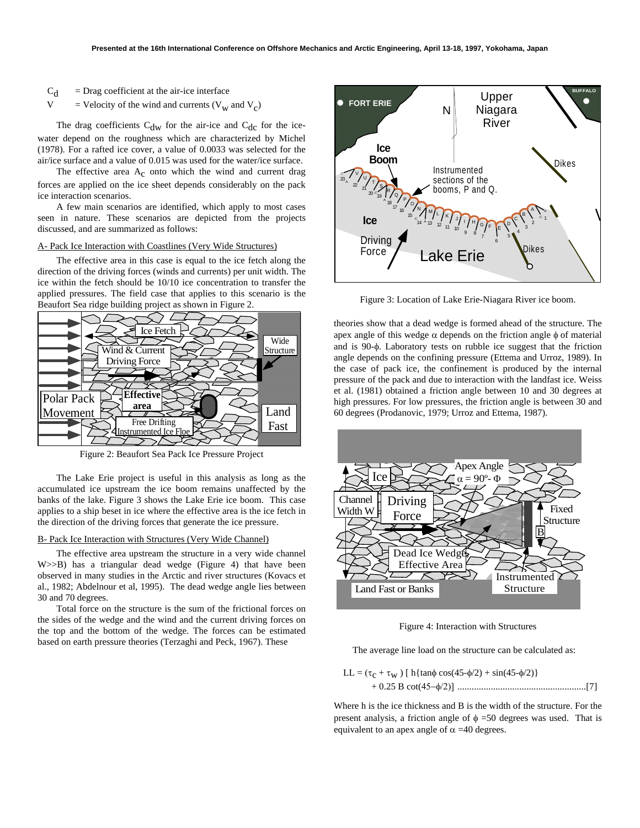- $C_d$  = Drag coefficient at the air-ice interface
- V = Velocity of the wind and currents  $(V_w$  and  $V_c)$

The drag coefficients  $C_{\text{dw}}$  for the air-ice and  $C_{\text{dc}}$  for the icewater depend on the roughness which are characterized by Michel (1978). For a rafted ice cover, a value of 0.0033 was selected for the air/ice surface and a value of 0.015 was used for the water/ice surface.

The effective area A<sub>c</sub> onto which the wind and current drag forces are applied on the ice sheet depends considerably on the pack ice interaction scenarios.

A few main scenarios are identified, which apply to most cases seen in nature. These scenarios are depicted from the projects discussed, and are summarized as follows:

#### A- Pack Ice Interaction with Coastlines (Very Wide Structures)

The effective area in this case is equal to the ice fetch along the direction of the driving forces (winds and currents) per unit width. The ice within the fetch should be 10/10 ice concentration to transfer the applied pressures. The field case that applies to this scenario is the Beaufort Sea ridge building project as shown in Figure 2.



Figure 2: Beaufort Sea Pack Ice Pressure Project

The Lake Erie project is useful in this analysis as long as the accumulated ice upstream the ice boom remains unaffected by the banks of the lake. Figure 3 shows the Lake Erie ice boom. This case applies to a ship beset in ice where the effective area is the ice fetch in the direction of the driving forces that generate the ice pressure.

### B- Pack Ice Interaction with Structures (Very Wide Channel)

The effective area upstream the structure in a very wide channel W>>B) has a triangular dead wedge (Figure 4) that have been observed in many studies in the Arctic and river structures (Kovacs et al., 1982; Abdelnour et al, 1995). The dead wedge angle lies between 30 and 70 degrees.

Total force on the structure is the sum of the frictional forces on the sides of the wedge and the wind and the current driving forces on the top and the bottom of the wedge. The forces can be estimated based on earth pressure theories (Terzaghi and Peck, 1967). These



Figure 3: Location of Lake Erie-Niagara River ice boom.

theories show that a dead wedge is formed ahead of the structure. The apex angle of this wedge  $\alpha$  depends on the friction angle  $\phi$  of material and is 90-φ. Laboratory tests on rubble ice suggest that the friction angle depends on the confining pressure (Ettema and Urroz, 1989). In the case of pack ice, the confinement is produced by the internal pressure of the pack and due to interaction with the landfast ice. Weiss et al. (1981) obtained a friction angle between 10 and 30 degrees at high pressures. For low pressures, the friction angle is between 30 and 60 degrees (Prodanovic, 1979; Urroz and Ettema, 1987).



Figure 4: Interaction with Structures

The average line load on the structure can be calculated as:

$$
LL = (\tau_C + \tau_W) [h\{\tan\phi \cos(45-\phi/2) + \sin(45-\phi/2)\}\
$$
  
+ 0.25 B cot(45-\phi/2)] .................  
.................  
17

Where h is the ice thickness and B is the width of the structure. For the present analysis, a friction angle of  $\phi = 50$  degrees was used. That is equivalent to an apex angle of  $\alpha$  =40 degrees.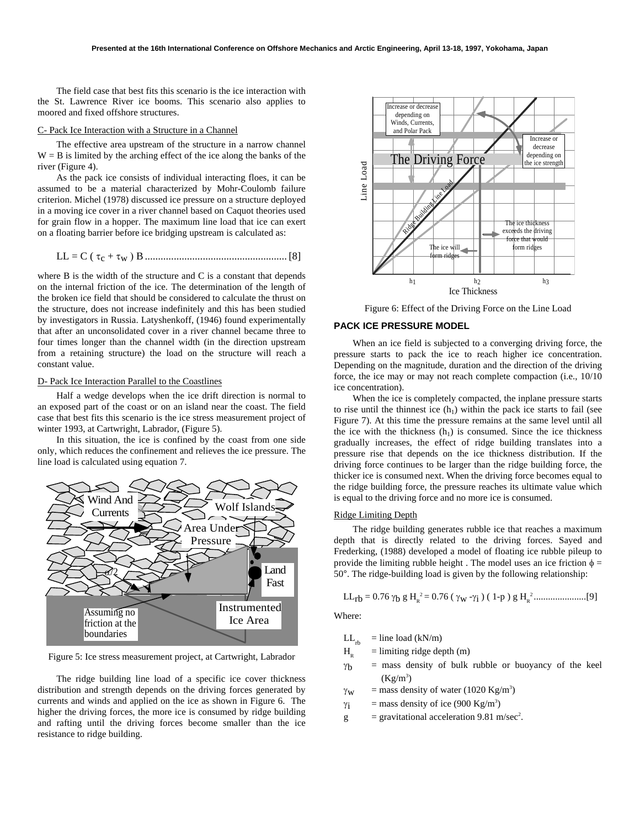The field case that best fits this scenario is the ice interaction with the St. Lawrence River ice booms. This scenario also applies to moored and fixed offshore structures.

#### C- Pack Ice Interaction with a Structure in a Channel

The effective area upstream of the structure in a narrow channel  $W = B$  is limited by the arching effect of the ice along the banks of the river (Figure 4).

As the pack ice consists of individual interacting floes, it can be assumed to be a material characterized by Mohr-Coulomb failure criterion. Michel (1978) discussed ice pressure on a structure deployed in a moving ice cover in a river channel based on Caquot theories used for grain flow in a hopper. The maximum line load that ice can exert on a floating barrier before ice bridging upstream is calculated as:

LL = C ( τc + τw ) B......................................................[8]

where B is the width of the structure and C is a constant that depends on the internal friction of the ice. The determination of the length of the broken ice field that should be considered to calculate the thrust on the structure, does not increase indefinitely and this has been studied by investigators in Russia. Latyshenkoff, (1946) found experimentally that after an unconsolidated cover in a river channel became three to four times longer than the channel width (in the direction upstream from a retaining structure) the load on the structure will reach a constant value.

### D- Pack Ice Interaction Parallel to the Coastlines

Half a wedge develops when the ice drift direction is normal to an exposed part of the coast or on an island near the coast. The field case that best fits this scenario is the ice stress measurement project of winter 1993, at Cartwright, Labrador, (Figure 5).

In this situation, the ice is confined by the coast from one side only, which reduces the confinement and relieves the ice pressure. The line load is calculated using equation 7.



Figure 5: Ice stress measurement project, at Cartwright, Labrador

The ridge building line load of a specific ice cover thickness distribution and strength depends on the driving forces generated by currents and winds and applied on the ice as shown in Figure 6. The higher the driving forces, the more ice is consumed by ridge building and rafting until the driving forces become smaller than the ice resistance to ridge building.



Figure 6: Effect of the Driving Force on the Line Load

## **PACK ICE PRESSURE MODEL**

When an ice field is subjected to a converging driving force, the pressure starts to pack the ice to reach higher ice concentration. Depending on the magnitude, duration and the direction of the driving force, the ice may or may not reach complete compaction (i.e., 10/10 ice concentration).

When the ice is completely compacted, the inplane pressure starts to rise until the thinnest ice  $(h_1)$  within the pack ice starts to fail (see Figure 7). At this time the pressure remains at the same level until all the ice with the thickness  $(h_1)$  is consumed. Since the ice thickness gradually increases, the effect of ridge building translates into a pressure rise that depends on the ice thickness distribution. If the driving force continues to be larger than the ridge building force, the thicker ice is consumed next. When the driving force becomes equal to the ridge building force, the pressure reaches its ultimate value which is equal to the driving force and no more ice is consumed.

## Ridge Limiting Depth

The ridge building generates rubble ice that reaches a maximum depth that is directly related to the driving forces. Sayed and Frederking, (1988) developed a model of floating ice rubble pileup to provide the limiting rubble height. The model uses an ice friction  $\phi =$ 50°. The ridge-building load is given by the following relationship:

LLrb = 0.76 γb g HR <sup>2</sup> = 0.76 ( γw -γi ) ( 1-p ) g HR <sup>2</sup> ......................[9]

Where:

$$
f_{\rm{max}}
$$

 $LL_{\text{th}}$  = line load (kN/m)

- $H<sub>p</sub>$  = limiting ridge depth (m)
- $\gamma_b$  = mass density of bulk rubble or buoyancy of the keel  $(Kg/m<sup>3</sup>)$
- $\gamma_{\rm W}$  = mass density of water (1020 Kg/m<sup>3</sup>)
- $\gamma_i$  = mass density of ice (900 Kg/m<sup>3</sup>)
- $g =$  gravitational acceleration 9.81 m/sec<sup>2</sup>.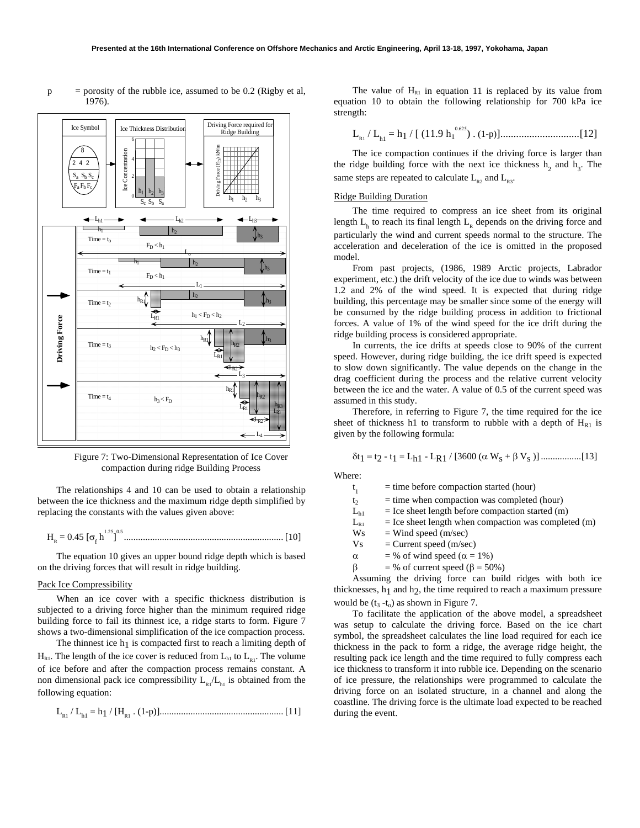

 $p =$  porosity of the rubble ice, assumed to be 0.2 (Rigby et al, 1976).

Figure 7: Two-Dimensional Representation of Ice Cover compaction during ridge Building Process

The relationships 4 and 10 can be used to obtain a relationship between the ice thickness and the maximum ridge depth simplified by replacing the constants with the values given above:

HR = 0.45 [σ<sup>f</sup> h1.25 ] 0.5 ................................................................... [10]

The equation 10 gives an upper bound ridge depth which is based on the driving forces that will result in ridge building.

## Pack Ice Compressibility

When an ice cover with a specific thickness distribution is subjected to a driving force higher than the minimum required ridge building force to fail its thinnest ice, a ridge starts to form. Figure 7 shows a two-dimensional simplification of the ice compaction process.

The thinnest ice  $h_1$  is compacted first to reach a limiting depth of  $H_{R1}$ . The length of the ice cover is reduced from  $L_{h1}$  to  $L_{R1}$ . The volume of ice before and after the compaction process remains constant. A non dimensional pack ice compressibility  $L_{p_1}/L_{p_1}$  is obtained from the following equation:

$$
L_{\rm R1}/L_{\rm h1} = h_1 / [H_{\rm R1} \cdot (1-p)].
$$

The value of  $H<sub>R1</sub>$  in equation 11 is replaced by its value from equation 10 to obtain the following relationship for 700 kPa ice strength:

LR1 / Lh1 = h1 / [ (11.9 h1 0.625) . (1-p)]..............................[12]

The ice compaction continues if the driving force is larger than the ridge building force with the next ice thickness  $h_2$  and  $h_3$ . The same steps are repeated to calculate  $L_{p_2}$  and  $L_{p_3}$ .

### Ridge Building Duration

The time required to compress an ice sheet from its original length  $L<sub>h</sub>$  to reach its final length  $L<sub>R</sub>$  depends on the driving force and particularly the wind and current speeds normal to the structure. The acceleration and deceleration of the ice is omitted in the proposed model.

From past projects, (1986, 1989 Arctic projects, Labrador experiment, etc.) the drift velocity of the ice due to winds was between 1.2 and 2% of the wind speed. It is expected that during ridge building, this percentage may be smaller since some of the energy will be consumed by the ridge building process in addition to frictional forces. A value of 1% of the wind speed for the ice drift during the ridge building process is considered appropriate.

In currents, the ice drifts at speeds close to 90% of the current speed. However, during ridge building, the ice drift speed is expected to slow down significantly. The value depends on the change in the drag coefficient during the process and the relative current velocity between the ice and the water. A value of 0.5 of the current speed was assumed in this study.

Therefore, in referring to Figure 7, the time required for the ice sheet of thickness h1 to transform to rubble with a depth of  $H<sub>R1</sub>$  is given by the following formula:

$$
\delta t_1 = t_2 - t_1 = L_{h1} - L_{R1} / [3600 (\alpha W_s + \beta V_s)] \dots (13)
$$

Where:

 $t_1$  $=$  time before compaction started (hour)  $t_2$  = time when compaction was completed (hour)

| $\mathbf{L}_{\mathrm{h1}}$ |  | $=$ Ice sheet length before compaction started (m) |  |  |
|----------------------------|--|----------------------------------------------------|--|--|
|----------------------------|--|----------------------------------------------------|--|--|

- $L_{R1}$  = Ice sheet length when compaction was completed (m)
- $Ws$  = Wind speed (m/sec)
- $Vs = Current speed (m/sec)$
- $\alpha$  = % of wind speed ( $\alpha$  = 1%)
- $β = % of current speed ( $β = 50%$ )$

Assuming the driving force can build ridges with both ice thicknesses,  $h_1$  and  $h_2$ , the time required to reach a maximum pressure would be  $(t_3 - t_0)$  as shown in Figure 7.

To facilitate the application of the above model, a spreadsheet was setup to calculate the driving force. Based on the ice chart symbol, the spreadsheet calculates the line load required for each ice thickness in the pack to form a ridge, the average ridge height, the resulting pack ice length and the time required to fully compress each ice thickness to transform it into rubble ice. Depending on the scenario of ice pressure, the relationships were programmed to calculate the driving force on an isolated structure, in a channel and along the coastline. The driving force is the ultimate load expected to be reached during the event.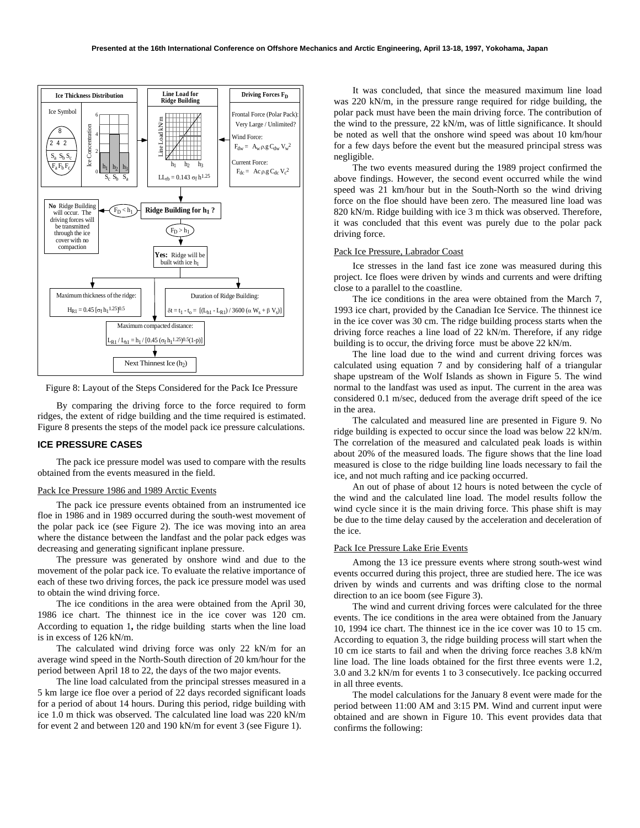

Figure 8: Layout of the Steps Considered for the Pack Ice Pressure

By comparing the driving force to the force required to form ridges, the extent of ridge building and the time required is estimated. Figure 8 presents the steps of the model pack ice pressure calculations.

## **ICE PRESSURE CASES**

The pack ice pressure model was used to compare with the results obtained from the events measured in the field.

### Pack Ice Pressure 1986 and 1989 Arctic Events

The pack ice pressure events obtained from an instrumented ice floe in 1986 and in 1989 occurred during the south-west movement of the polar pack ice (see Figure 2). The ice was moving into an area where the distance between the landfast and the polar pack edges was decreasing and generating significant inplane pressure.

The pressure was generated by onshore wind and due to the movement of the polar pack ice. To evaluate the relative importance of each of these two driving forces, the pack ice pressure model was used to obtain the wind driving force.

The ice conditions in the area were obtained from the April 30, 1986 ice chart. The thinnest ice in the ice cover was 120 cm. According to equation 1**,** the ridge building starts when the line load is in excess of 126 kN/m.

The calculated wind driving force was only 22 kN/m for an average wind speed in the North-South direction of 20 km/hour for the period between April 18 to 22, the days of the two major events.

The line load calculated from the principal stresses measured in a 5 km large ice floe over a period of 22 days recorded significant loads for a period of about 14 hours. During this period, ridge building with ice 1.0 m thick was observed. The calculated line load was 220 kN/m for event 2 and between 120 and 190 kN/m for event 3 (see Figure 1).

It was concluded, that since the measured maximum line load was 220 kN/m, in the pressure range required for ridge building, the polar pack must have been the main driving force. The contribution of the wind to the pressure, 22 kN/m, was of little significance. It should be noted as well that the onshore wind speed was about 10 km/hour for a few days before the event but the measured principal stress was negligible.

The two events measured during the 1989 project confirmed the above findings. However, the second event occurred while the wind speed was 21 km/hour but in the South-North so the wind driving force on the floe should have been zero. The measured line load was 820 kN/m. Ridge building with ice 3 m thick was observed. Therefore, it was concluded that this event was purely due to the polar pack driving force.

## Pack Ice Pressure, Labrador Coast

Ice stresses in the land fast ice zone was measured during this project. Ice floes were driven by winds and currents and were drifting close to a parallel to the coastline.

The ice conditions in the area were obtained from the March 7, 1993 ice chart, provided by the Canadian Ice Service. The thinnest ice in the ice cover was 30 cm. The ridge building process starts when the driving force reaches a line load of 22 kN/m. Therefore, if any ridge building is to occur, the driving force must be above 22 kN/m.

The line load due to the wind and current driving forces was calculated using equation 7 and by considering half of a triangular shape upstream of the Wolf Islands as shown in Figure 5. The wind normal to the landfast was used as input. The current in the area was considered 0.1 m/sec, deduced from the average drift speed of the ice in the area.

The calculated and measured line are presented in Figure 9. No ridge building is expected to occur since the load was below 22 kN/m. The correlation of the measured and calculated peak loads is within about 20% of the measured loads. The figure shows that the line load measured is close to the ridge building line loads necessary to fail the ice, and not much rafting and ice packing occurred.

An out of phase of about 12 hours is noted between the cycle of the wind and the calculated line load. The model results follow the wind cycle since it is the main driving force. This phase shift is may be due to the time delay caused by the acceleration and deceleration of the ice.

#### Pack Ice Pressure Lake Erie Events

Among the 13 ice pressure events where strong south-west wind events occurred during this project, three are studied here. The ice was driven by winds and currents and was drifting close to the normal direction to an ice boom (see Figure 3).

The wind and current driving forces were calculated for the three events. The ice conditions in the area were obtained from the January 10, 1994 ice chart. The thinnest ice in the ice cover was 10 to 15 cm. According to equation 3, the ridge building process will start when the 10 cm ice starts to fail and when the driving force reaches 3.8 kN/m line load. The line loads obtained for the first three events were 1.2, 3.0 and 3.2 kN/m for events 1 to 3 consecutively. Ice packing occurred in all three events.

The model calculations for the January 8 event were made for the period between 11:00 AM and 3:15 PM. Wind and current input were obtained and are shown in Figure 10. This event provides data that confirms the following: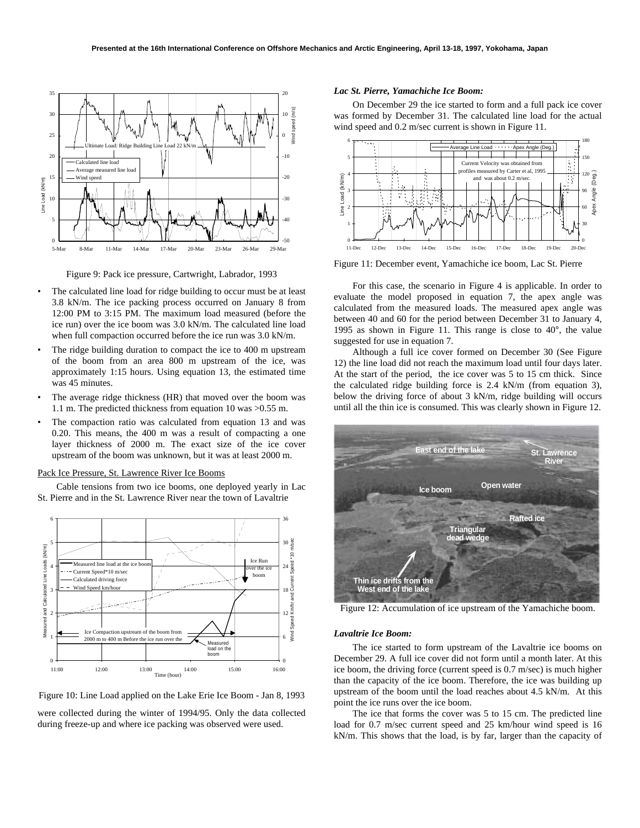

Figure 9: Pack ice pressure, Cartwright, Labrador, 1993

- The calculated line load for ridge building to occur must be at least 3.8 kN/m. The ice packing process occurred on January 8 from 12:00 PM to 3:15 PM. The maximum load measured (before the ice run) over the ice boom was 3.0 kN/m. The calculated line load when full compaction occurred before the ice run was  $3.0 \text{ kN/m}$ .
- The ridge building duration to compact the ice to 400 m upstream of the boom from an area 800 m upstream of the ice, was approximately 1:15 hours. Using equation 13, the estimated time was 45 minutes.
- The average ridge thickness (HR) that moved over the boom was 1.1 m. The predicted thickness from equation 10 was >0.55 m.
- The compaction ratio was calculated from equation 13 and was 0.20. This means, the 400 m was a result of compacting a one layer thickness of 2000 m. The exact size of the ice cover upstream of the boom was unknown, but it was at least 2000 m.

#### Pack Ice Pressure, St. Lawrence River Ice Booms

Cable tensions from two ice booms, one deployed yearly in Lac St. Pierre and in the St. Lawrence River near the town of Lavaltrie





were collected during the winter of 1994/95. Only the data collected during freeze-up and where ice packing was observed were used.

## *Lac St. Pierre, Yamachiche Ice Boom:*

On December 29 the ice started to form and a full pack ice cover was formed by December 31. The calculated line load for the actual wind speed and  $0.2$  m/sec current is shown in Figure 11.



Figure 11: December event, Yamachiche ice boom, Lac St. Pierre

For this case, the scenario in Figure 4 is applicable. In order to evaluate the model proposed in equation 7, the apex angle was calculated from the measured loads. The measured apex angle was between 40 and 60 for the period between December 31 to January 4, 1995 as shown in Figure 11. This range is close to 40°, the value suggested for use in equation 7.

Although a full ice cover formed on December 30 (See Figure 12) the line load did not reach the maximum load until four days later. At the start of the period, the ice cover was 5 to 15 cm thick. Since the calculated ridge building force is 2.4 kN/m (from equation 3), below the driving force of about 3 kN/m, ridge building will occurs until all the thin ice is consumed. This was clearly shown in Figure 12.



Figure 12: Accumulation of ice upstream of the Yamachiche boom.

#### *Lavaltrie Ice Boom:*

The ice started to form upstream of the Lavaltrie ice booms on December 29. A full ice cover did not form until a month later. At this ice boom, the driving force (current speed is 0.7 m/sec) is much higher than the capacity of the ice boom. Therefore, the ice was building up upstream of the boom until the load reaches about 4.5 kN/m. At this point the ice runs over the ice boom.

The ice that forms the cover was 5 to 15 cm. The predicted line load for 0.7 m/sec current speed and 25 km/hour wind speed is 16 kN/m. This shows that the load, is by far, larger than the capacity of